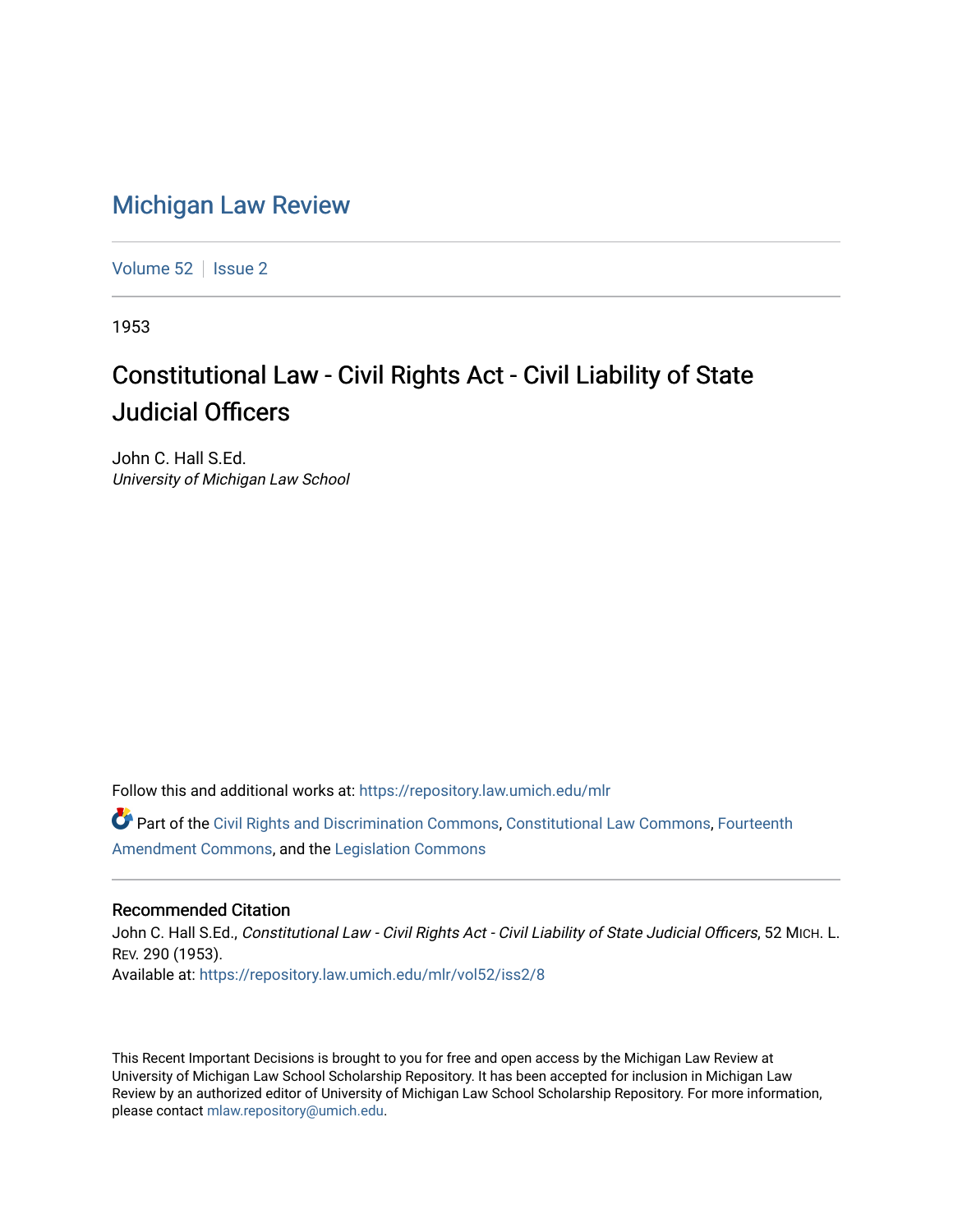## [Michigan Law Review](https://repository.law.umich.edu/mlr)

[Volume 52](https://repository.law.umich.edu/mlr/vol52) | [Issue 2](https://repository.law.umich.edu/mlr/vol52/iss2)

1953

## Constitutional Law - Civil Rights Act - Civil Liability of State Judicial Officers

John C. Hall S.Ed. University of Michigan Law School

Follow this and additional works at: [https://repository.law.umich.edu/mlr](https://repository.law.umich.edu/mlr?utm_source=repository.law.umich.edu%2Fmlr%2Fvol52%2Fiss2%2F8&utm_medium=PDF&utm_campaign=PDFCoverPages) 

Part of the [Civil Rights and Discrimination Commons,](http://network.bepress.com/hgg/discipline/585?utm_source=repository.law.umich.edu%2Fmlr%2Fvol52%2Fiss2%2F8&utm_medium=PDF&utm_campaign=PDFCoverPages) [Constitutional Law Commons,](http://network.bepress.com/hgg/discipline/589?utm_source=repository.law.umich.edu%2Fmlr%2Fvol52%2Fiss2%2F8&utm_medium=PDF&utm_campaign=PDFCoverPages) [Fourteenth](http://network.bepress.com/hgg/discipline/1116?utm_source=repository.law.umich.edu%2Fmlr%2Fvol52%2Fiss2%2F8&utm_medium=PDF&utm_campaign=PDFCoverPages)  [Amendment Commons](http://network.bepress.com/hgg/discipline/1116?utm_source=repository.law.umich.edu%2Fmlr%2Fvol52%2Fiss2%2F8&utm_medium=PDF&utm_campaign=PDFCoverPages), and the [Legislation Commons](http://network.bepress.com/hgg/discipline/859?utm_source=repository.law.umich.edu%2Fmlr%2Fvol52%2Fiss2%2F8&utm_medium=PDF&utm_campaign=PDFCoverPages)

## Recommended Citation

John C. Hall S.Ed., Constitutional Law - Civil Rights Act - Civil Liability of State Judicial Officers, 52 MICH. L. REV. 290 (1953). Available at: [https://repository.law.umich.edu/mlr/vol52/iss2/8](https://repository.law.umich.edu/mlr/vol52/iss2/8?utm_source=repository.law.umich.edu%2Fmlr%2Fvol52%2Fiss2%2F8&utm_medium=PDF&utm_campaign=PDFCoverPages)

This Recent Important Decisions is brought to you for free and open access by the Michigan Law Review at University of Michigan Law School Scholarship Repository. It has been accepted for inclusion in Michigan Law Review by an authorized editor of University of Michigan Law School Scholarship Repository. For more information, please contact [mlaw.repository@umich.edu.](mailto:mlaw.repository@umich.edu)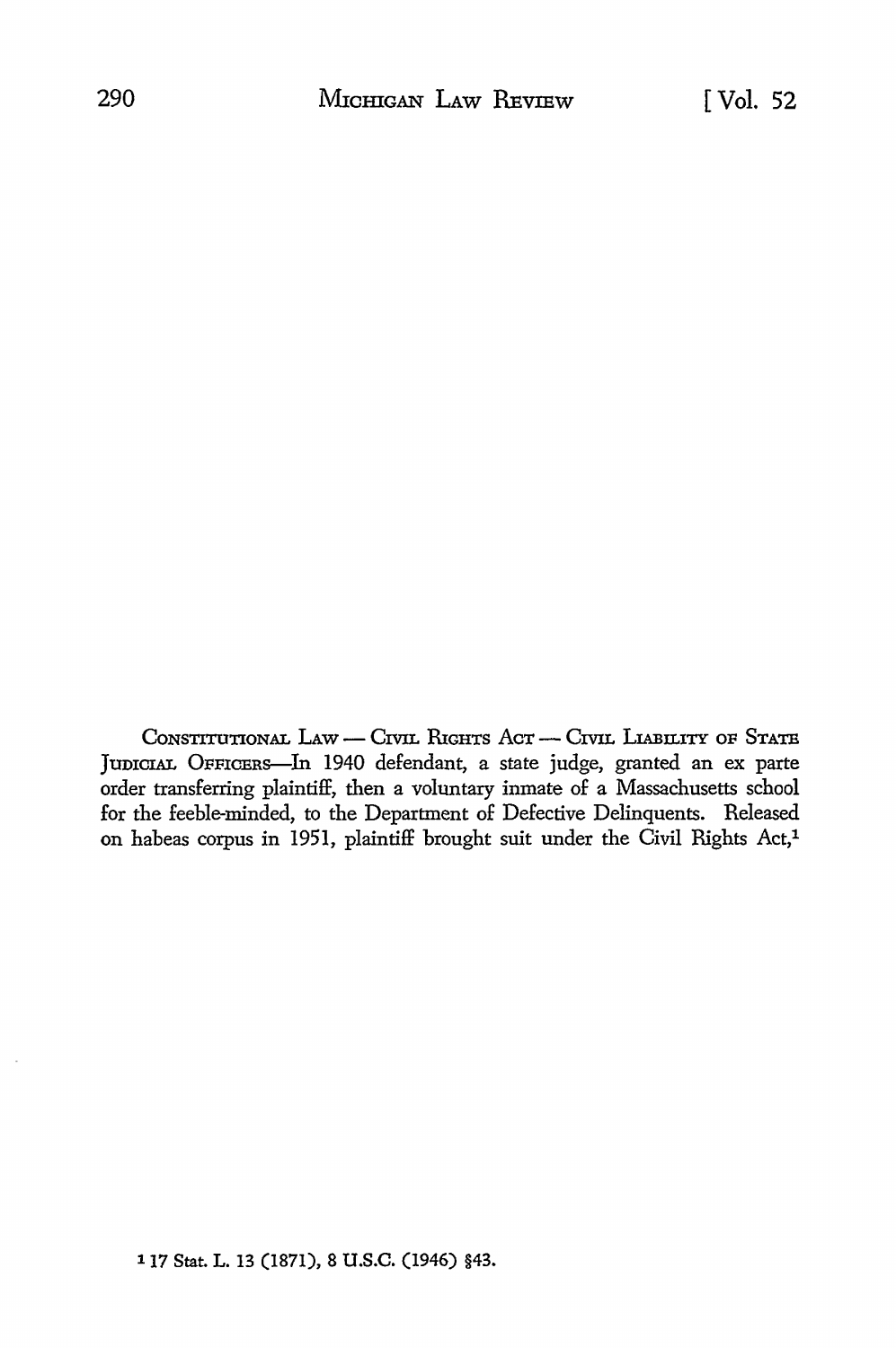CONSTITUTIONAL LAW - CIVIL RIGHTS ACT - CIVIL LIABILITY OF STATE JumCIAL OFFICERS-In 1940 defendant, a state judge, granted an ex parte order transferring plaintiff, then a voluntary inmate of a Massachusetts school for the feeble-minded, to the Department of Defective Delinquents. Released on habeas corpus in 1951, plaintiff brought suit under the Civil Rights Act,<sup>1</sup>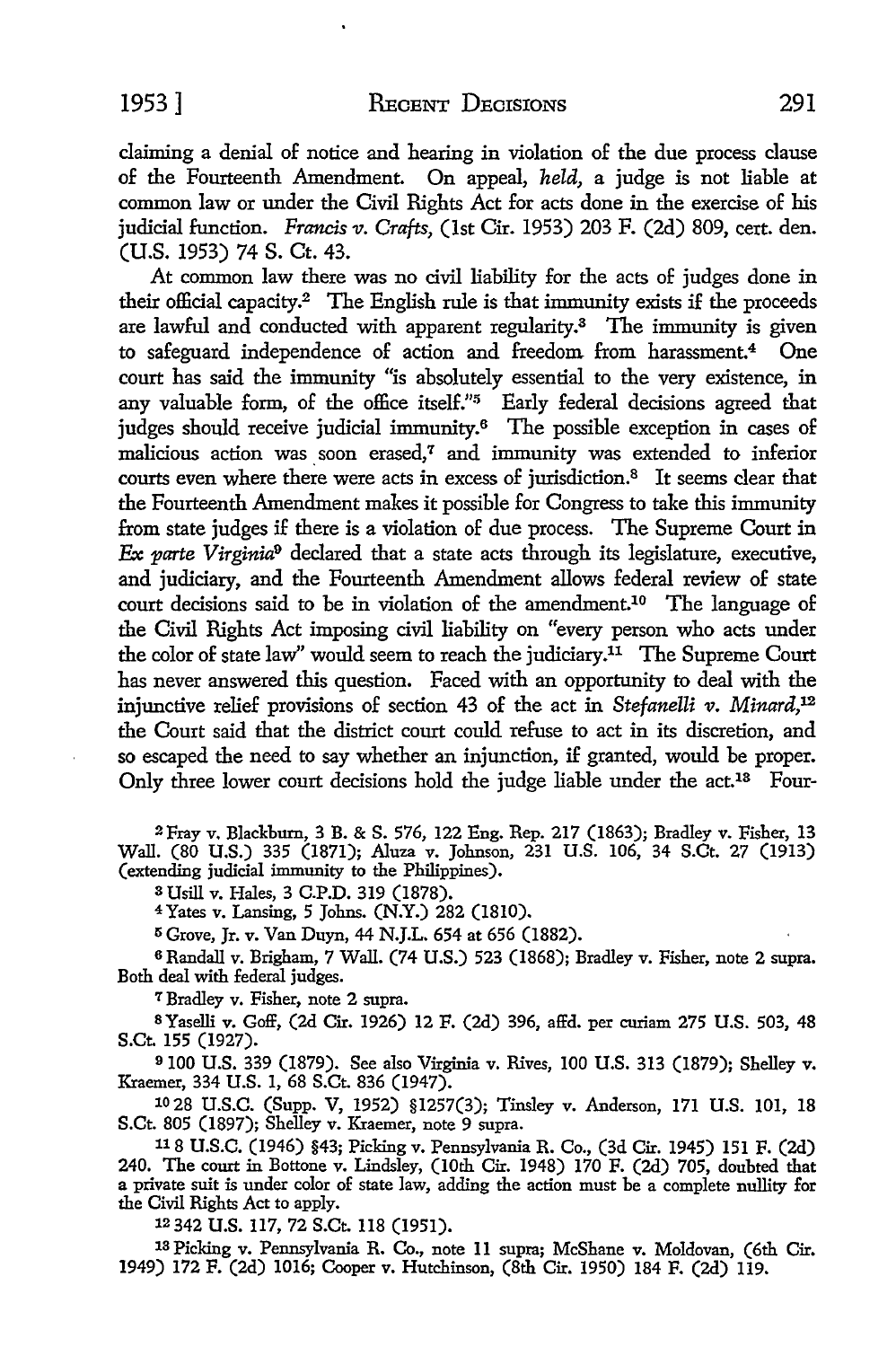(U.S. 1953) 74 S. Ct. 43. At common law there was no civil liability for the acts of judges done in their official capacity.<sup>2</sup> The English rule is that immunity exists if the proceeds are lawful and conducted with apparent regularity.3 The immunity is given to safeguard independence of action and freedom from harassment.4 One court has said the immunity "is absolutely essential to the very existence, in any valuable form, of the office itself."<sup>5</sup> Early federal decisions agreed that judges should receive judicial immunity.<sup>6</sup> The possible exception in cases of malicious action was soon erased,<sup>7</sup> and immunity was extended to inferior courts even where there were acts in excess of jurisdiction.<sup>8</sup> It seems clear that the Fourteenth Amendment makes it possible for Congress to take this immunity from state judges if there is a violation of due process. The Supreme Court in *:Ex parte Virginia9* declared that a state acts through its legislature, executive, and judiciary, and the Fourteenth Amendment allows federal review of state court decisions said to be in violation of the amendment.10 The language of the Civil Rights Act imposing civil liability on "every person who acts under the color of state law" would seem to reach the judiciary.<sup>11</sup> The Supreme Court has never answered this question. Faced with an opportunity to deal with the injunctive relief provisions of section 43 of the act in *Stefanelli v. Minard*,<sup>12</sup> the Court said that the district court could refuse to act in its discretion, and so escaped the need *to* say whether an injunction, if granted, would be proper. Only three lower court decisions hold the judge liable under the act.<sup>13</sup> Four-

<sup>2</sup>Fray v. Blackburn, 3 B. & S. 576, 122 Eng. Rep. 217 (1863); Bradley v. Fisher, 13 Wall. (80 U.S.) 335 (1871); Aluza v. Johnson, 231 U.S. 106, 34 S.Ct. 27 (1913) (extending judicial immunity to the Philippines).

s Usill v. Hales, 3 C.P.D. 319 (1878).

<sup>4</sup>Yates v. Lansing, 5 Johns. (N.Y.) 282 (1810).

5 Grove, Jr. v. Van Duyn, 44 N.J.L. 654 at 656 (1882).

<sup>6</sup>Randall v. Brigham, 7 Wall. (74 U.S.) 523 (1868); Bradley v. Fisher, note 2 supra. Both deal with federal judges.

<sup>7</sup>Bradley v. Fisher, note 2 supra.

SYaselli v. Goff, (2d Cir. 1926) 12 F. (2d) 396, affd. per curiam 275 U.S. 503, 48 S.Ct. 155 (1927).

<sup>9</sup>100 U.S. 339 (1879). See also Virginia v. Rives, 100 U.S. 313 (1879); Shelley v. Kraemer, 334 U.S. 1, 68 S.Ct. 836 (1947).

10 28 U.S.C. (Supp. V, 1952) §1257(3); Tinsley v. Anderson, 171 U.S. 101, 18 S.Ct. 805 (1897); Shelley v. Kraemer, note 9 supra.

<sup>11</sup> 8 U.S.C. (1946) §43; Picking v. Pennsylvania R. Co., (3d Cir. 1945) 151 F. (2d) 240. The court in Bottone v. Lindsley, (10th Cir. 1948) 170 F. (2d) 705, doubted that a private suit is under color of state law, adding the action must be a complete nullity for the Civil Rights Act to apply.

12342 U.S. 117, 72 S.Ct. 118 (1951).

13 Picking v. Pennsylvania R. Co., note 11 supra; McShane v. Moldovan, (6th Cir. 1949) 172 F. (2d) 1016; Cooper v. Hutchinson, (8th Cir. 1950) 184 F. (2d) 119.